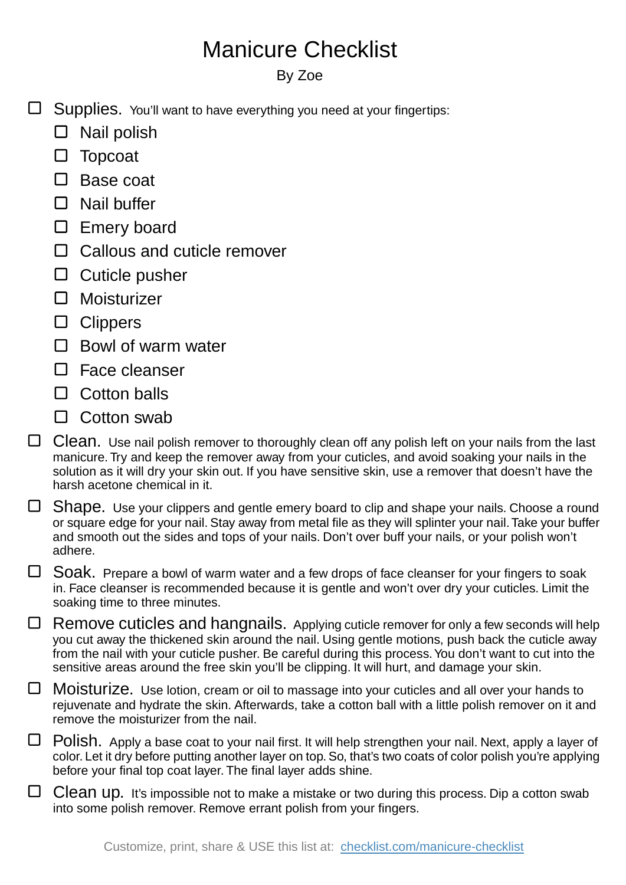## Manicure Checklist

## By Zoe

- Supplies. You'll want to have everything you need at your fingertips:
	- $\square$  Nail polish
	- □ Topcoat
	- □ Base coat
	- $\square$  Nail buffer
	- □ Emery board
	- $\Box$  Callous and cuticle remover
	- $\Box$  Cuticle pusher
	- □ Moisturizer
	- Clippers
	- $\Box$  Bowl of warm water
	- □ Face cleanser
	- $\Box$  Cotton balls
	- $\Box$  Cotton swab
- $\Box$  Clean. Use nail polish remover to thoroughly clean off any polish left on your nails from the last manicure. Try and keep the remover away from your cuticles, and avoid soaking your nails in the solution as it will dry your skin out. If you have sensitive skin, use a remover that doesn't have the harsh acetone chemical in it.
- Shape. Use your clippers and gentle emery board to clip and shape your nails. Choose a round or square edge for your nail. Stay away from metal file as they will splinter your nail. Take your buffer and smooth out the sides and tops of your nails. Don't over buff your nails, or your polish won't adhere.
- $\Box$  Soak. Prepare a bowl of warm water and a few drops of face cleanser for your fingers to soak in. Face cleanser is recommended because it is gentle and won't over dry your cuticles. Limit the soaking time to three minutes.
- $\Box$  Remove cuticles and hangnails. Applying cuticle remover for only a few seconds will help you cut away the thickened skin around the nail. Using gentle motions, push back the cuticle away from the nail with your cuticle pusher. Be careful during this process. You don't want to cut into the sensitive areas around the free skin you'll be clipping. It will hurt, and damage your skin.
- □ Moisturize. Use lotion, cream or oil to massage into your cuticles and all over your hands to rejuvenate and hydrate the skin. Afterwards, take a cotton ball with a little polish remover on it and remove the moisturizer from the nail.
- $\Box$  Polish. Apply a base coat to your nail first. It will help strengthen your nail. Next, apply a layer of color. Let it dry before putting another layer on top. So, that's two coats of color polish you're applying before your final top coat layer. The final layer adds shine.
- $\Box$  Clean up. It's impossible not to make a mistake or two during this process. Dip a cotton swab into some polish remover. Remove errant polish from your fingers.